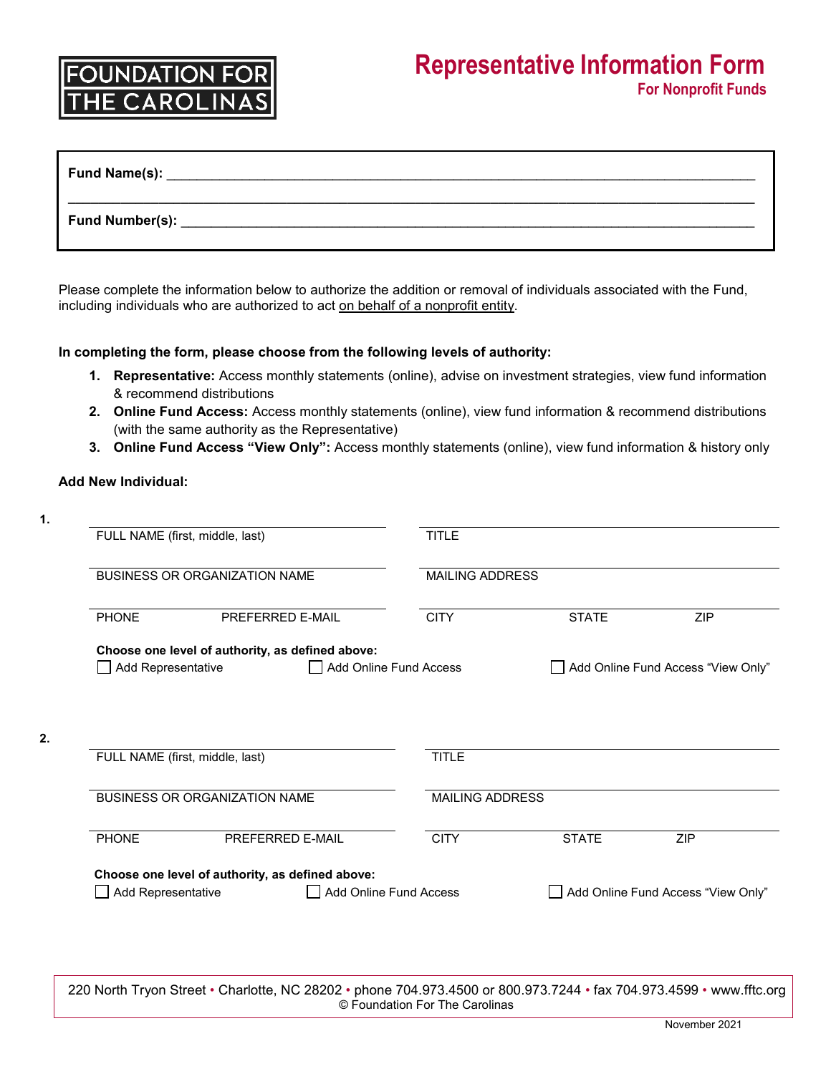## NDATIO

| <b>Fund Name(s):</b> |  |  |
|----------------------|--|--|
| Fund Number(s):      |  |  |

Please complete the information below to authorize the addition or removal of individuals associated with the Fund, including individuals who are authorized to act on behalf of a nonprofit entity.

### **In completing the form, please choose from the following levels of authority:**

- **1. Representative:** Access monthly statements (online), advise on investment strategies, view fund information & recommend distributions
- **2. Online Fund Access:** Access monthly statements (online), view fund information & recommend distributions (with the same authority as the Representative)
- **3. Online Fund Access "View Only":** Access monthly statements (online), view fund information & history only

### **Add New Individual:**

**2.**

| FULL NAME (first, middle, last)<br><b>BUSINESS OR ORGANIZATION NAME</b>                          |                                 |                                                  | <b>TITLE</b><br><b>MAILING ADDRESS</b> |                                    |                                    |  |
|--------------------------------------------------------------------------------------------------|---------------------------------|--------------------------------------------------|----------------------------------------|------------------------------------|------------------------------------|--|
|                                                                                                  |                                 |                                                  |                                        |                                    |                                    |  |
| Choose one level of authority, as defined above:<br>Add Representative<br>Add Online Fund Access |                                 |                                                  |                                        | Add Online Fund Access "View Only" |                                    |  |
|                                                                                                  | FULL NAME (first, middle, last) |                                                  | <b>TITLE</b>                           |                                    |                                    |  |
| <b>BUSINESS OR ORGANIZATION NAME</b>                                                             |                                 |                                                  | <b>MAILING ADDRESS</b>                 |                                    |                                    |  |
| <b>PHONE</b>                                                                                     |                                 | PREFERRED E-MAIL                                 | <b>CITY</b>                            | <b>STATE</b>                       | <b>ZIP</b>                         |  |
| Add Representative                                                                               |                                 | Choose one level of authority, as defined above: | Add Online Fund Access                 |                                    | Add Online Fund Access "View Only" |  |

220 North Tryon Street • Charlotte, NC 28202 • phone 704.973.4500 or 800.973.7244 • fax 704.973.4599 • www.fftc.org © Foundation For The Carolinas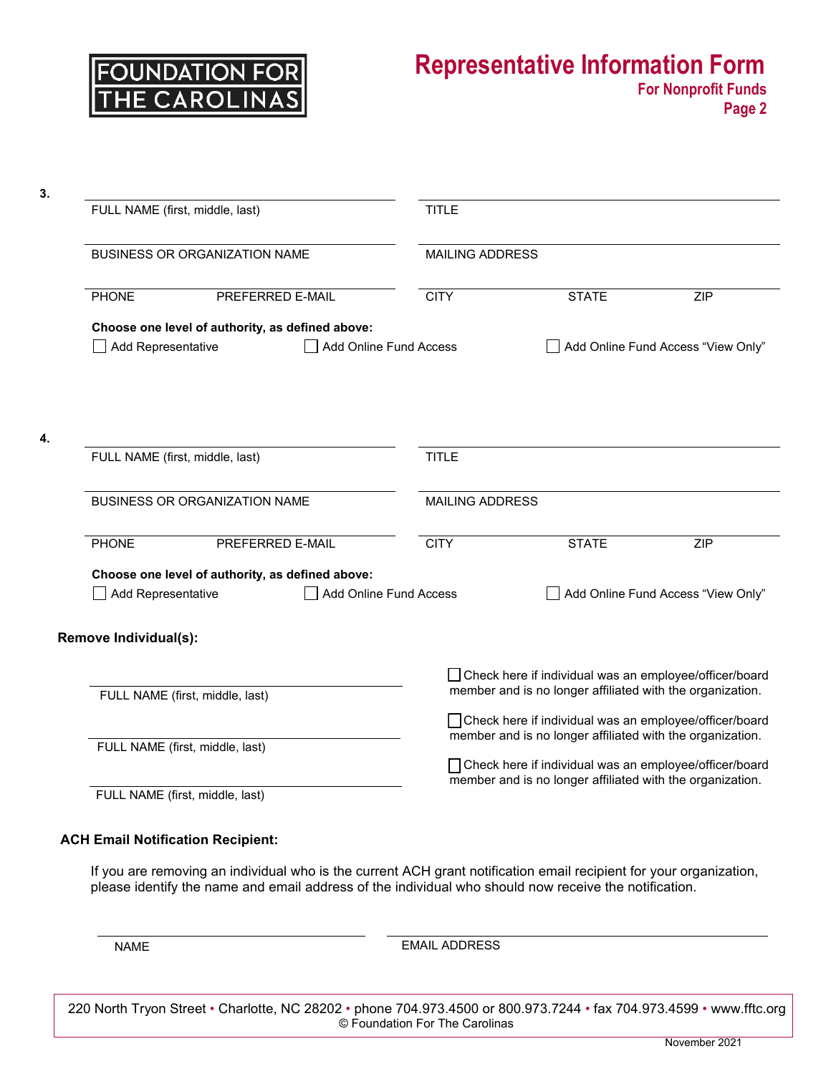

| 3. |                                                                                                                           |                                 |                                                           |                                                                                                                       |                                                          |                                    |  |
|----|---------------------------------------------------------------------------------------------------------------------------|---------------------------------|-----------------------------------------------------------|-----------------------------------------------------------------------------------------------------------------------|----------------------------------------------------------|------------------------------------|--|
|    | FULL NAME (first, middle, last)<br><b>BUSINESS OR ORGANIZATION NAME</b>                                                   |                                 |                                                           | <b>TITLE</b><br><b>MAILING ADDRESS</b>                                                                                |                                                          |                                    |  |
|    |                                                                                                                           |                                 |                                                           |                                                                                                                       |                                                          |                                    |  |
|    | <b>PHONE</b>                                                                                                              | PREFERRED E-MAIL                |                                                           | <b>CITY</b>                                                                                                           | <b>STATE</b>                                             | ZIP                                |  |
|    | Choose one level of authority, as defined above:<br>Add Online Fund Access<br>Add Representative                          |                                 |                                                           | Add Online Fund Access "View Only"                                                                                    |                                                          |                                    |  |
| 4. | FULL NAME (first, middle, last)                                                                                           |                                 |                                                           | <b>TITLE</b>                                                                                                          |                                                          |                                    |  |
|    | <b>BUSINESS OR ORGANIZATION NAME</b>                                                                                      |                                 |                                                           | <b>MAILING ADDRESS</b>                                                                                                |                                                          |                                    |  |
|    | <b>PHONE</b>                                                                                                              | PREFERRED E-MAIL                |                                                           | <b>CITY</b>                                                                                                           | <b>STATE</b>                                             | ZIP                                |  |
|    | Choose one level of authority, as defined above:<br>Add Representative<br>Add Online Fund Access<br>Remove Individual(s): |                                 |                                                           |                                                                                                                       |                                                          | Add Online Fund Access "View Only" |  |
|    |                                                                                                                           |                                 |                                                           |                                                                                                                       | □ Check here if individual was an employee/officer/board |                                    |  |
|    | FULL NAME (first, middle, last)                                                                                           |                                 | member and is no longer affiliated with the organization. |                                                                                                                       |                                                          |                                    |  |
|    | FULL NAME (first, middle, last)                                                                                           |                                 |                                                           | □ Check here if individual was an employee/officer/board<br>member and is no longer affiliated with the organization. |                                                          |                                    |  |
|    |                                                                                                                           | FULL NAME (first, middle, last) |                                                           | □ Check here if individual was an employee/officer/board<br>member and is no longer affiliated with the organization. |                                                          |                                    |  |

### **ACH Email Notification Recipient:**

If you are removing an individual who is the current ACH grant notification email recipient for your organization, please identify the name and email address of the individual who should now receive the notification.

NAME EMAIL ADDRESS

220 North Tryon Street • Charlotte, NC 28202 • phone 704.973.4500 or 800.973.7244 • fax 704.973.4599 • www.fftc.org © Foundation For The Carolinas